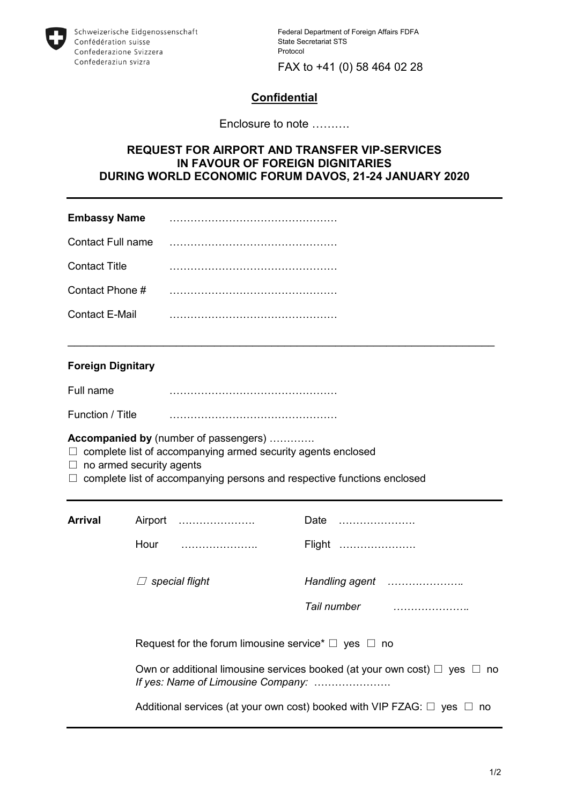

Federal Department of Foreign Affairs FDFA State Secretariat STS Protocol

FAX to +41 (0) 58 464 02 28

## **Confidential**

Enclosure to note ……….

## **REQUEST FOR AIRPORT AND TRANSFER VIP-SERVICES IN FAVOUR OF FOREIGN DIGNITARIES DURING WORLD ECONOMIC FORUM DAVOS, 21-24 JANUARY 2020**

 $\overline{\phantom{a}}$  , and the contribution of the contribution of the contribution of the contribution of the contribution of the contribution of the contribution of the contribution of the contribution of the contribution of the

| <b>Embassy Name</b>  |  |
|----------------------|--|
| Contact Full name    |  |
| <b>Contact Title</b> |  |
| Contact Phone #      |  |
| Contact E-Mail       |  |

## **Foreign Dignitary**

Full name …………………………………………

Function / Title …………………………………………

**Accompanied by** (number of passengers) ………….

- □ complete list of accompanying armed security agents enclosed
- $\Box$  no armed security agents

 $\Box$  complete list of accompanying persons and respective functions enclosed

| <b>Arrival</b> | Airport                                                                                                                   | Date                                                                              |  |
|----------------|---------------------------------------------------------------------------------------------------------------------------|-----------------------------------------------------------------------------------|--|
|                | Hour                                                                                                                      | Flight                                                                            |  |
|                | special flight                                                                                                            |                                                                                   |  |
|                |                                                                                                                           |                                                                                   |  |
|                | Request for the forum limousine service <sup>*</sup> $\Box$ yes $\Box$ no                                                 |                                                                                   |  |
|                | Own or additional limousine services booked (at your own cost) $\Box$ yes $\Box$ no<br>If yes: Name of Limousine Company: |                                                                                   |  |
|                |                                                                                                                           | Additional services (at your own cost) booked with VIP FZAG: $\Box$ yes $\Box$ no |  |